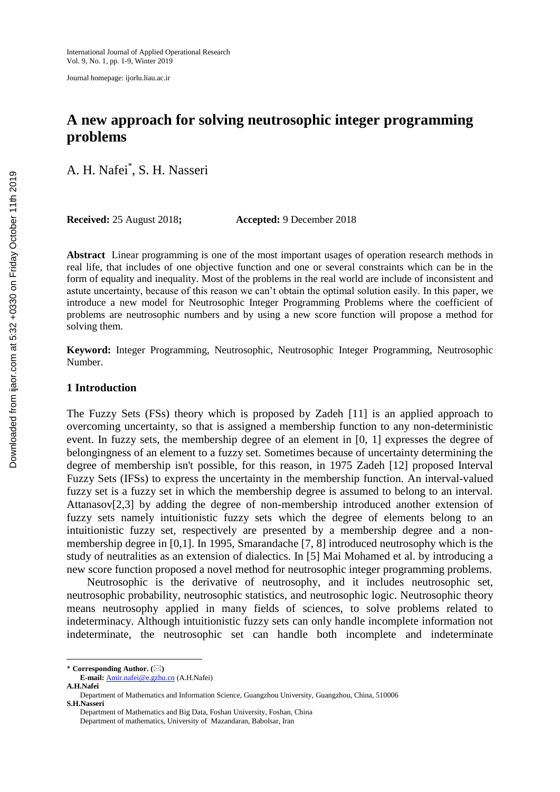Journal homepage: ijorlu.liau.ac.ir

# **A new approach for solving neutrosophic integer programming problems**

A. H. Nafei\* , S. H. Nasseri

**Received:** 25 August 2018**; Accepted:** 9 December 2018

**Abstract** Linear programming is one of the most important usages of operation research methods in real life, that includes of one objective function and one or several constraints which can be in the form of equality and inequality. Most of the problems in the real world are include of inconsistent and astute uncertainty, because of this reason we can't obtain the optimal solution easily. In this paper, we introduce a new model for Neutrosophic Integer Programming Problems where the coefficient of problems are neutrosophic numbers and by using a new score function will propose a method for solving them.

**Keyword:** Integer Programming, Neutrosophic, Neutrosophic Integer Programming, Neutrosophic Number.

## **1 Introduction**

The Fuzzy Sets (FSs) theory which is proposed by Zadeh [11] is an applied approach to overcoming uncertainty, so that is assigned a membership function to any non-deterministic event. In fuzzy sets, the membership degree of an element in [0, 1] expresses the degree of belongingness of an element to a fuzzy set. Sometimes because of uncertainty determining the degree of membership isn't possible, for this reason, in 1975 Zadeh [12] proposed Interval Fuzzy Sets (IFSs) to express the uncertainty in the membership function. An interval-valued fuzzy set is a fuzzy set in which the membership degree is assumed to belong to an interval. Attanasov[2,3] by adding the degree of non-membership introduced another extension of fuzzy sets namely intuitionistic fuzzy sets which the degree of elements belong to an intuitionistic fuzzy set, respectively are presented by a membership degree and a nonmembership degree in [0,1]. In 1995, Smarandache [7, 8] introduced neutrosophy which is the study of neutralities as an extension of dialectics. In [5] Mai Mohamed et al. by introducing a new score function proposed a novel method for neutrosophic integer programming problems.

Neutrosophic is the derivative of neutrosophy, and it includes neutrosophic set, neutrosophic probability, neutrosophic statistics, and neutrosophic logic. Neutrosophic theory means neutrosophy applied in many fields of sciences, to solve problems related to indeterminacy. Although intuitionistic fuzzy sets can only handle incomplete information not indeterminate, the neutrosophic set can handle both incomplete and indeterminate

 $\overline{\phantom{a}}$ 

Department of Mathematics and Big Data, Foshan University, Foshan, China

<sup>\*</sup> **Corresponding Author. ()**

**E-mail:** Amir.nafei@e.gzhu.cn (A.H.Nafei)

**A.H.Nafei**

Department of Mathematics and Information Science, Guangzhou University, Guangzhou, China, 510006 **S.H.Nasseri**

Department of mathematics, University of Mazandaran, Babolsar, Iran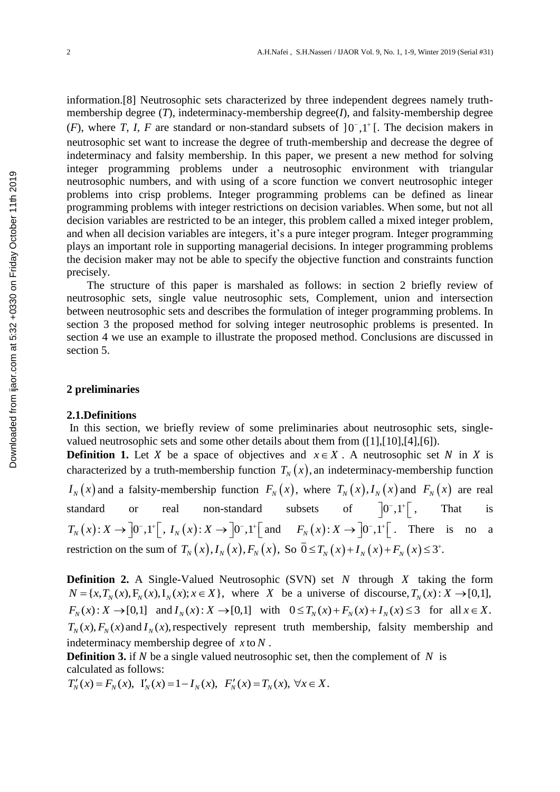information.[8] Neutrosophic sets characterized by three independent degrees namely truthmembership degree (*T*), indeterminacy-membership degree(*I*), and falsity-membership degree (*F*), where *T*, *I*, *F* are standard or non-standard subsets of  $]0^{\circ},1^{\circ}$  [. The decision makers in neutrosophic set want to increase the degree of truth-membership and decrease the degree of indeterminacy and falsity membership. In this paper, we present a new method for solving integer programming problems under a neutrosophic environment with triangular neutrosophic numbers, and with using of a score function we convert neutrosophic integer problems into crisp problems. Integer programming problems can be defined as linear programming problems with integer restrictions on decision variables. When some, but not all decision variables are restricted to be an integer, this problem called a mixed integer problem, and when all decision variables are integers, it's a pure integer program. Integer programming plays an important role in supporting managerial decisions. In integer programming problems the decision maker may not be able to specify the objective function and constraints function precisely. *x* neutrosophic numbers, and with using of a score function problems into crisp problems with integer restrictions on decision availables are estricted to be an integer, this problems in decision and when all decision

The structure of this paper is marshaled as follows: in section 2 briefly review of neutrosophic sets, single value neutrosophic sets, Complement, union and intersection between neutrosophic sets and describes the formulation of integer programming problems. In section 3 the proposed method for solving integer neutrosophic problems is presented. In section 4 we use an example to illustrate the proposed method. Conclusions are discussed in section 5.

#### **2 preliminaries**

## **2.1.Definitions**

In this section, we briefly review of some preliminaries about neutrosophic sets, singlevalued neutrosophic sets and some other details about them from ([1],[10],[4],[6]).

**Definition 1.** Let X be a space of objectives and  $x \in X$ . A neutrosophic set N in X is characterized by a truth-membership function  $T_N(x)$ , an indeterminacy-membership function  $I_N(x)$  and a falsity-membership function  $F_N(x)$ , where  $T_N(x)$ ,  $I_N(x)$  and  $F_N(x)$  are real standard or real non-standard subsets of  $\begin{bmatrix} 0^{-}, 1^{+} \end{bmatrix}$ , That is standard or real non-standard st<br>  $T_N(x): X \to [0^-, 1^+] [$ ,  $I_N(x): X \to [0^-, 1^+]$  and and  $F_N(x): X \to \left]0^-, 1^+ \right[$ . There is no a restriction on the sum of  $T_N(x)$ ,  $I_N(x)$ ,  $F_N(x)$ , So  $\bar{0} \le T_N(x) + I_N(x) + F_N(x) \le 3^+$ .  $^{+}$  $\leq T_N(x) + I_N(x) + F_N(x) \leq 3^+$ .

**Definition 2.** A Single-Valued Neutrosophic (SVN) set N through X taking the form **Definition 2.** A Single-Valued Neutrosophic (SVN) set N through X taking the form  $N = \{x, T_N(x), F_N(x), I_N(x); x \in X\}$ , where X be a universe of discourse,  $T_N(x): X \to [0,1],$  $F_N(x): X \to [0,1]$  and  $I_N(x): X \to [0,1]$  with  $0 \le T_N(x) + F_N(x) + I_N(x) \le 3$  for all  $x \in X$ .  $T_N(x)$ ,  $F_N(x)$  and  $I_N(x)$ , respectively represent truth membership, falsity membership and indeterminacy membership degree of *x* to *N* .

**Definition 3.** if  $N$  be a single valued neutrosophic set, then the complement of  $N$  is calculated as follows:

 $T'_{N}(x) = F_{N}(x), Y_{N}(x) = 1 - I_{N}(x), F'_{N}(x) = T_{N}(x),$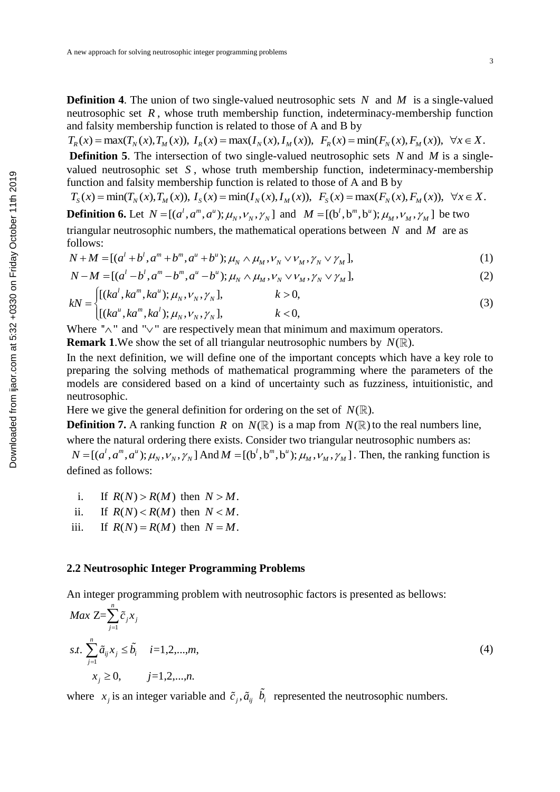**Definition 4.** The union of two single-valued neutrosophic sets N and M is a single-valued neutrosophic set *R* , whose truth membership function, indeterminacy-membership function

and falsity membership function is related to those of A and B by  
\n
$$
T_R(x) = \max(T_N(x), T_M(x)), I_R(x) = \max(I_N(x), I_M(x)), F_R(x) = \min(F_N(x), F_M(x)), \forall x \in X.
$$

**Definition 5**. The intersection of two single-valued neutrosophic sets N and M is a singlevalued neutrosophic set *S* , whose truth membership function, indeterminacy-membership

function and falsity membership function is related to those of A and B by  
\n
$$
T_s(x) = \min(T_N(x), T_M(x)), I_s(x) = \min(I_N(x), I_M(x)), F_s(x) = \max(F_N(x), F_M(x)), \forall x \in X.
$$

**Definition 6.** Let  $N = [(a^l, a^m, a^u); \mu_N, \nu_N, \gamma_N]$  and  $M = [(b^l, b^m, b^u); \mu_M, \nu_M, \gamma_M]$  be two triangular neutrosophic numbers, the mathematical operations between *N* and *M* are as follows:<br>  $N + M = [(a^l + b^l, a^m + b^m, a^u + b^u); \mu_N \wedge \mu_M, \nu_N \vee \nu_M, \gamma_N \vee \gamma_M]$ , follows:

follows:  
\n
$$
N + M = [(a^{l} + b^{l}, a^{m} + b^{m}, a^{u} + b^{u}); \mu_{N} \wedge \mu_{M}, \nu_{N} \vee \nu_{M}, \gamma_{N} \vee \gamma_{M}],
$$
\n
$$
N - M = [(a^{l} - b^{l}, a^{m} - b^{m}, a^{u} - b^{u}); \mu_{N} \wedge \mu_{M}, \nu_{N} \vee \nu_{M}, \gamma_{N} \vee \gamma_{M}],
$$
\n(2)

$$
N - M = [(al - bl, am - bm, au - bu); \mu_N \wedge \mu_M, \nu_N \vee \nu_M, \gamma_N \vee \gamma_M],
$$
  
\n
$$
[(kal, kam, kau); \mu_{N}, \nu_{N}]. \qquad k > 0.
$$
 (2)

$$
N-M = [(al - bl, am - bm, au - bu); \muN \wedge \muM, \nuN \vee \nuM, \gammaN \vee \gammaM],
$$
  
\nkN =\n
$$
\begin{cases}\n[(kal, kam, kau); \muN, \nuN, \gammaN], & k > 0, \\
[(kau, kam, kal); \muN, \nuN, \gammaN], & k < 0,\n\end{cases}
$$
\n(3)

Where " $\wedge$ " and " $\vee$ " are respectively mean that minimum and maximum operators.

**Remark** 1. We show the set of all triangular neutrosophic numbers by  $N(\mathbb{R})$ .

In the next definition, we will define one of the important concepts which have a key role to preparing the solving methods of mathematical programming where the parameters of the models are considered based on a kind of uncertainty such as fuzziness, intuitionistic, and neutrosophic.

Here we give the general definition for ordering on the set of  $N(\mathbb{R})$ .

**Definition 7.** A ranking function R on  $N(\mathbb{R})$  is a map from  $N(\mathbb{R})$  to the real numbers line, where the natural ordering there exists. Consider two triangular neutrosophic numbers as:

where the natural ordering there exists. Consider two triangular neutrosophic numbers as:<br> $N = [(a^l, a^m, a^u); \mu_N, v_N, \gamma_N]$  And  $M = [(b^l, b^m, b^u); \mu_M, v_M, \gamma_M]$ . Then, the ranking function is defined as follows:

i. If  $R(N) > R(M)$  then  $N > M$ .

ii. If  $R(N) < R(M)$  then  $N < M$ .

iii.  $R(N) = R(M)$  then  $N = M$ .

## **2.2 Neutrosophic Integer Programming Problems**

An integer programming problem with neutrosophic factors is presented as bellows:

function and failure. In the next definition, we can be mentioned in the next definition, we will define one of A and B by  
\n
$$
T_s(x) = min(T_{N}(x), T_{M}(x)), I_s(x) = min(I_N(x), I_M(x)), F_s(x) = max(F_N(x), F_M(x)), \forall x \in X.
$$
\n**Definition 6.** Let  $N = [(a', a^m, a^k); \mu_N, \nu_N, \gamma_N]$  and  $M = [(b', b^m, b^k); \mu_M, \nu_M, \gamma_M]$  be two  
\ntriangular neutrosophic numbers, the mathematical operations between N and M are as  
\nfollows:  
\n $N + M = [(a' + b', a^m + b^m, a^u + b^u); \mu_N \wedge \mu_M, \nu_N, \nabla \nu_M, \gamma_N, \nabla \nu_M],$ \n(1)  
\n $N - M = [(a' - b', a^m - b^m, a^u - b^u); \mu_N, \nabla \mu_M, \nabla \nu_M, \nabla \nu_M],$ \n(2)  
\n $kN = \begin{cases} [(ka', ka^m, ka^u); \mu_N, \nu_N, \gamma_N], & k > 0, \\ [(ka', ka^m, ka^u); \mu_N, \nu_N, \gamma_N], & k > 0, \end{cases}$ \n(3)  
\nwhere  ${}^n \wedge {}^n$  and  ${}^n \vee {}^n$  are respectively mean that minimum and maximum operators.  
\n**Remark 1.** We show the set of all triangular neutrosophic numbers by  $N(\mathbb{R})$ .  
\nHence we give the general definition for ordering on the set of  $N(\mathbb{R})$ .  
\nHence we give the general definition for ordering on the set of  $N(\mathbb{R})$ .  
\nHence we give the general definition for ordering on the set of  $N(\mathbb{R})$ .  
\n**Definition 7.** A ranking function R on  $N(\mathbb{R})$  is a map from  $N(\mathbb{R})$  to the real numbers line, where the parameters of the  
\nneutrosophic.  
\nHere we give the general definition for ordering on the set of  $N(\mathbb{R})$ .  
\n**Definition 7.** A ranking function R on  $N(\mathbb{R})$  is a map from  $N(\mathbb{R})$  to the real numbers are, and  
\ndefined as follows:  
\n $N = [(a', a^m, a^v); \mu_N, \nu_N, \gamma_N] \text$ 

where  $x_j$  is an integer variable and  $\tilde{c}_j$ ,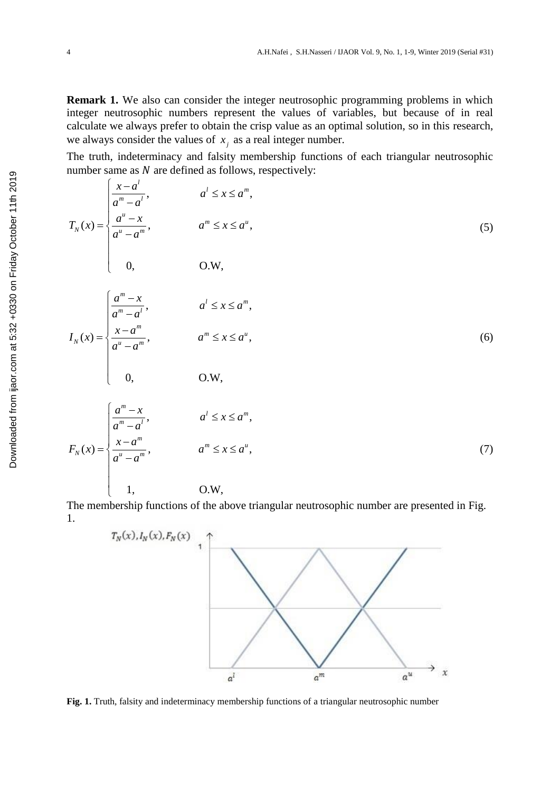**Remark 1.** We also can consider the integer neutrosophic programming problems in which integer neutrosophic numbers represent the values of variables, but because of in real calculate we always prefer to obtain the crisp value as an optimal solution, so in this research, we always consider the values of  $x_j$  as a real integer number.

The truth, indeterminacy and falsity membership functions of each triangular neutrosophic

number same as *N* are defined as follows, respectively:  
\n
$$
T_N(x) = \begin{cases}\n\frac{x-a'}{a''-a'}, & a' \le x \le a^m, \\
\frac{a''-x}{a''-a''}, & a''' \le x \le a^n,\n\end{cases}
$$
\n(5)  
\n0, O.W,  
\n
$$
I_N(x) = \begin{cases}\n\frac{a^m - x}{a^m - a'}, & a' \le x \le a^m, \\
\frac{x-a^m}{a^n - a''}, & a'' \le x \le a^m,\n\end{cases}
$$
\n(6)  
\n0, O.W,  
\n
$$
U_N(x) = \begin{cases}\n\frac{a^m - x}{a^m - a''}, & a' \le x \le a^m, \\
\frac{a^m - a'}{a^m - a''}, & a'' \le x \le a^m,\n\end{cases}
$$
\n(7)

The membership functions of the above triangular neutrosophic number are presented in Fig. 1.



**Fig. 1.** Truth, falsity and indeterminacy membership functions of a triangular neutrosophic number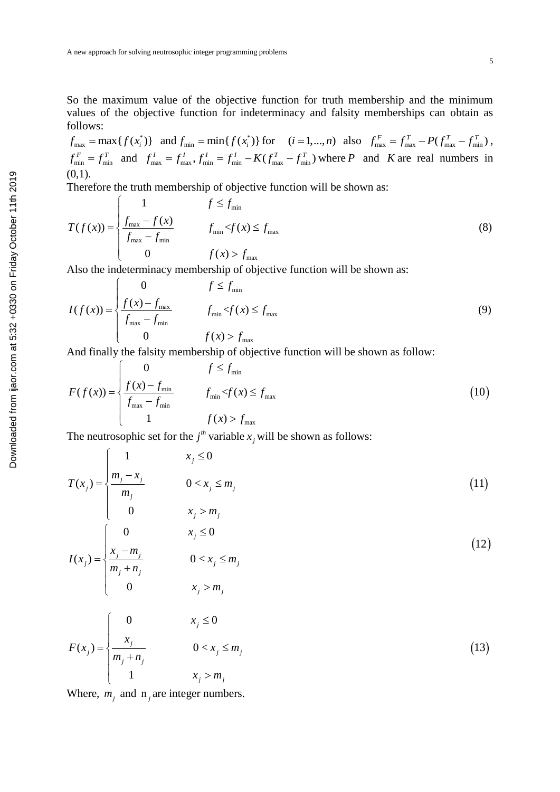So the maximum value of the objective function for truth membership and the minimum values of the objective function for indeterminacy and falsity memberships can obtain as follows:

 $f_{\text{max}} = \max\{f(x_i^*)\}$  and  $f_{\text{min}} = \min\{f(x_i^*)\}$  for  $(i = 1,...,n)$  also  $f_{\text{max}}^F = f_{\text{max}}^T - P(f_{\text{max}}^T - f_{\text{min}}^T)$ ,  $f_{\text{max}} = \max\{f(x_i^{\dagger})\}\$  and  $f_{\text{min}} = \min\{f(x_i^{\dagger})\}\$  for  $(i = 1,...,n)$  also  $f_{\text{max}}^r = f_{\text{max}}^l - P(f_{\text{max}}^l - f_{\text{min}}^l)$ ,<br> $f_{\text{min}}^F = f_{\text{min}}^T$  and  $f_{\text{max}}^l = f_{\text{max}}^l$ ,  $f_{\text{min}}^l = f_{\text{min}}^l - K(f_{\text{max}}^T - f_{\text{min}}^T)$  where *P*  $(0,1)$ .

Therefore the truth membership of objective function will be shown as:  
\n
$$
T(f(x)) = \begin{cases}\n1 & f \le f_{\min} \\
\frac{f_{\max} - f(x)}{f_{\max} - f_{\min}} & f_{\min} < f(x) \le f_{\max} \\
0 & f(x) > f_{\max}\n\end{cases}
$$
\n(8)

Also the indeterminacy membership of objective function will be shown as:  
\n
$$
I(f(x)) = \begin{cases}\n0 & f \le f_{\min} \\
\frac{f(x) - f_{\max}}{f_{\max} - f_{\min}} & f_{\min} < f(x) \le f_{\max} \\
0 & f(x) > f_{\max}\n\end{cases}
$$
\n(9)

And finally the falsity membership of objective function will be shown as follow:  
\n
$$
F(f(x)) = \begin{cases}\n0 & f \le f_{\min} \\
\frac{f(x) - f_{\min}}{f_{\max} - f_{\min}} & f_{\min} < f(x) \le f_{\max} \\
1 & f(x) > f_{\max}\n\end{cases}
$$
\n(10)

The neutrosophic set for the  $j<sup>th</sup>$  variable  $x_j$  will be shown as follows:

$$
T(x_j) = \begin{cases} 1 & x_j \le 0 \\ \frac{m_j - x_j}{m_j} & 0 < x_j \le m_j \\ 0 & x_j > m_j \end{cases}
$$
(11)

(0,1).  
\nTherefore the truth membership of objective function will be shown as:  
\n
$$
T(f(x)) = \begin{cases}\n1 & f \le f_{min} \\
\frac{f_{max} - f(x)}{f_{max} - f_{min}} & f_{min} \le f(x) \le f_{max} \\
0 & f(x) > f_{max}\n\end{cases}
$$
\n(8)  
\nAlso the indeterminacy membership of objective function will be shown as:  
\n
$$
I(f(x)) = \begin{cases}\nf(x) - f_{max} & f_{min} \le f(x) \le f_{max} \\
\frac{f(x) - f_{max}}{f_{max} - f_{min}} & f_{min} \le f(x) \le f_{max}\n\end{cases}
$$
\n(9)  
\n
$$
F(f(x)) = \begin{cases}\n0 & f \le f_{min} \\
\frac{f(x) - f_{max}}{f_{max} - f_{min}} & f_{min} \le f(x) \le f_{max}\n\end{cases}
$$
\n(10)  
\n
$$
F(f(x)) = \begin{cases}\n0 & f \le f_{min} \\
\frac{f(x) - f_{min}}{f_{max} - f_{min}} & f_{min} \le f(x) \le f_{max}\n\end{cases}
$$
\n(10)  
\n
$$
T(x_j) = \begin{cases}\n1 & x_j \le 0 \\
\frac{1}{m_j - x_j} & 0 < x_j \le m_j \\
m_j & n_j \end{cases}
$$
\n(11)  
\n
$$
I(x_j) = \begin{cases}\n1 & x_j \le 0 \\
\frac{x_j - m_j}{m_j + n_j} & 0 < x_j \le m_j \\
m_j + n_j & n_j \le x_j \le m_j \\
0 & x_j > m_j\n\end{cases}
$$
\n(12)  
\n
$$
F(x_j) = \begin{cases}\n0 & x_j \le 0 \\
\frac{x_j - m_j}{m_j + n_j} & 0 < x_j \le m_j \\
\frac{x_j}{m_j + n_j} & 0 < x_j \le m_j \\
1 & x_j > m_j\n\end{cases}
$$
\n(13)

Where,  $m_j$  and  $n_j$  are integer numbers.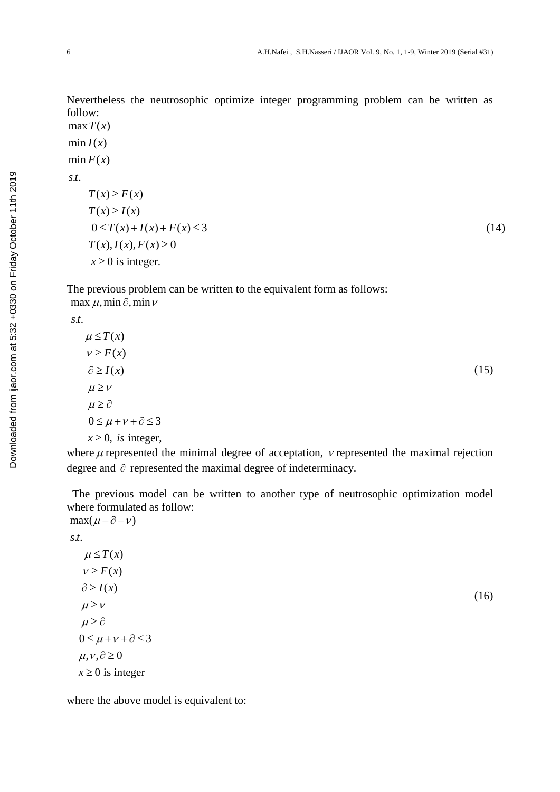Nevertheless the neutrosophic optimize integer programming problem can be written as follow: Neverthel<br>follow:<br>max  $T(x)$ <br>min  $I(x)$ Neverthe<br>follow:<br>max  $T(x)$ <br>min  $I(x)$ <br>min  $F(x)$ follow:<br>  $\max T(x)$ <br>  $\min I(x)$ <br>  $\min F(x)$ <br>  $\sum_{x}$ erthe<br>W:<br> $T(x)$  $I(x)$ <br>*I*  $I(x)$ <br>*I*  $I(x)$ 

na<br>ni<br>.*t*. m:<br>m<sup>:</sup><br>*s.t* 

$$
\min I(x)
$$
\n
$$
F(x)
$$
\n
$$
f(x) \ge F(x)
$$
\n
$$
T(x) \ge I(x)
$$
\n
$$
0 \le T(x) + I(x) + F(x) \le 3
$$
\n
$$
T(x), I(x), F(x) \ge 0
$$
\n
$$
x \ge 0 \text{ is integer.} \tag{14}
$$

The previous problem can be written to the equivalent form as follows:  $\max \mu$ , min  $\partial$ , min  $\nu$ 

. . *s t*

$$
\mu \le T(x)
$$
  
\n
$$
\nu \ge F(x)
$$
  
\n
$$
\partial \ge I(x)
$$
  
\n
$$
\mu \ge \nu
$$
  
\n
$$
\mu \ge \partial
$$
  
\n
$$
0 \le \mu + \nu + \partial \le 3
$$
  
\n
$$
x \ge 0, \text{ is integer,}
$$

where  $\mu$  represented the minimal degree of acceptation,  $\nu$  represented the maximal rejection degree and  $\partial$  represented the maximal degree of indeterminacy.

 The previous model can be written to another type of neutrosophic optimization model where formulated as follow:  $max(\mu - \partial - \nu)$ 

(16)

. . *s t*

$$
\mu \leq T(x)
$$
  
\n
$$
\nu \geq F(x)
$$
  
\n
$$
\partial \geq I(x)
$$
  
\n
$$
\mu \geq \nu
$$
  
\n
$$
\mu \geq \partial
$$
  
\n
$$
0 \leq \mu + \nu + \partial \leq 3
$$
  
\n
$$
\mu, \nu, \partial \geq 0
$$
  
\n
$$
x \geq 0 \text{ is integer}
$$

where the above model is equivalent to: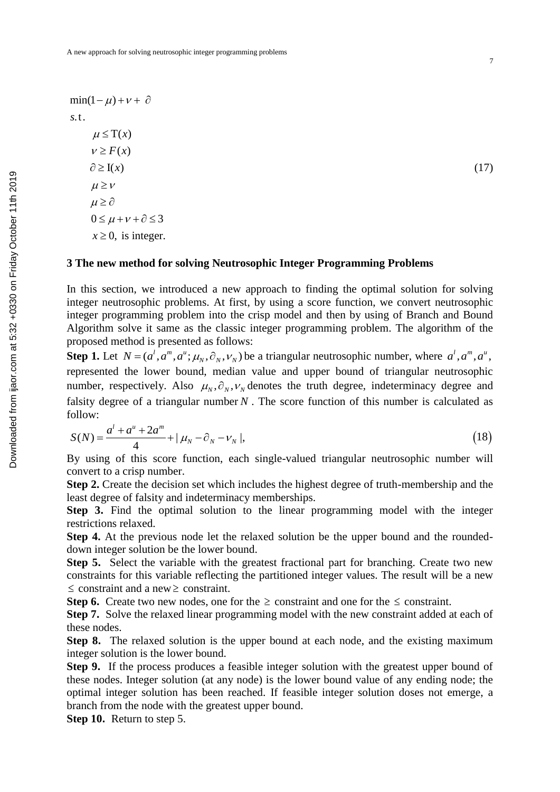$\min(1 - \mu) + \nu + \partial$ .t. *s*  $\mu \leq T(x)$  $v \geq F(x)$  $\partial \geq I(x)$  $0 \leq \mu + \nu + \partial \leq 3$  $x \geq 0$ , is integer.  $\mu \geq \nu$  $\mu \geq \partial$ 

## **3 The new method for solving Neutrosophic Integer Programming Problems**

In this section, we introduced a new approach to finding the optimal solution for solving integer neutrosophic problems. At first, by using a score function, we convert neutrosophic integer programming problem into the crisp model and then by using of Branch and Bound Algorithm solve it same as the classic integer programming problem. The algorithm of the proposed method is presented as follows:

(17)

**Step 1.** Let  $N = (a^l, a^m, a^u; \mu_N, \partial_N, \nu_N)$  be a triangular neutrosophic number, where  $a^l, a^m, a^u$ , represented the lower bound, median value and upper bound of triangular neutrosophic number, respectively. Also  $\mu_N$ ,  $\partial_N$ ,  $\nu_N$  denotes the truth degree, indeterminacy degree and falsity degree of a triangular number  $N$ . The score function of this number is calculated as follow:  $l + a^u + 2a^m$ 

follow:  
\n
$$
S(N) = \frac{a^{l} + a^{u} + 2a^{m}}{4} + |\mu_{N} - \partial_{N} - \nu_{N}|,
$$
\n(18)

By using of this score function, each single-valued triangular neutrosophic number will convert to a crisp number.

**Step 2.** Create the decision set which includes the highest degree of truth-membership and the least degree of falsity and indeterminacy memberships.

**Step 3.** Find the optimal solution to the linear programming model with the integer restrictions relaxed.

**Step 4.** At the previous node let the relaxed solution be the upper bound and the roundeddown integer solution be the lower bound.

**Step 5.** Select the variable with the greatest fractional part for branching. Create two new constraints for this variable reflecting the partitioned integer values. The result will be a new  $\leq$  constraint and a new  $\geq$  constraint.

**Step 6.** Create two new nodes, one for the  $\geq$  constraint and one for the  $\leq$  constraint.

**Step 7.** Solve the relaxed linear programming model with the new constraint added at each of these nodes.

**Step 8.** The relaxed solution is the upper bound at each node, and the existing maximum integer solution is the lower bound.

**Step 9.** If the process produces a feasible integer solution with the greatest upper bound of these nodes. Integer solution (at any node) is the lower bound value of any ending node; the optimal integer solution has been reached. If feasible integer solution doses not emerge, a branch from the node with the greatest upper bound.

**Step 10.** Return to step 5.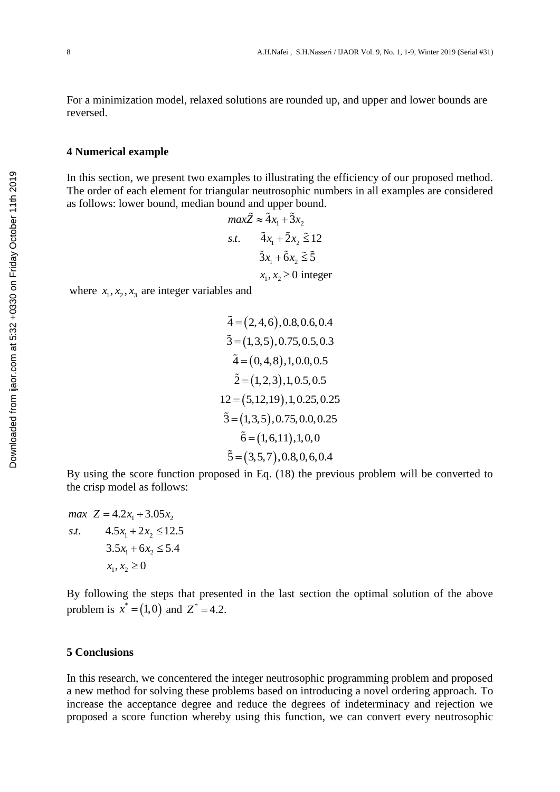For a minimization model, relaxed solutions are rounded up, and upper and lower bounds are reversed.

#### **4 Numerical example**

In this section, we present two examples to illustrating the efficiency of our proposed method. The order of each element for triangular neutrosophic numbers in all examples are considered as follows: lower bound, median bound and upper bound.

$$
\max \tilde{Z} \approx \tilde{4} x_1 + \tilde{3} x_2
$$
  
s.t. 
$$
\tilde{4} x_1 + \tilde{2} x_2 \le 12
$$

$$
\tilde{3} x_1 + \tilde{6} x_2 \le \tilde{5}
$$

$$
x_1, x_2 \ge 0 \text{ integer}
$$

where  $x_1, x_2, x_3$  are integer variables and

$$
\tilde{4} = (2, 4, 6), 0.8, 0.6, 0.4
$$
  

$$
\tilde{3} = (1, 3, 5), 0.75, 0.5, 0.3
$$
  

$$
\tilde{4} = (0, 4, 8), 1, 0.0, 0.5
$$
  

$$
\tilde{2} = (1, 2, 3), 1, 0.5, 0.5
$$
  

$$
12 = (5, 12, 19), 1, 0.25, 0.25
$$
  

$$
\tilde{3} = (1, 3, 5), 0.75, 0.0, 0.25
$$
  

$$
\tilde{6} = (1, 6, 11), 1, 0, 0
$$
  

$$
\tilde{5} = (3, 5, 7), 0.8, 0, 6, 0.4
$$

By using the score function proposed in Eq. (18) the previous problem will be converted to the crisp model as follows:

 $max \ Z = 4.2x_1 + 3.05x_2$  $4.5x_1 + 2x_2 \le 12.5$  $3.5x_1 + 6x_2 \le 5.4$  $x_1, x_2 \ge 0$ *s t*. .

By following the steps that presented in the last section the optimal solution of the above problem is  $x^* = (1,0)$  and  $Z^* = 4.2$ .

#### **5 Conclusions**

In this research, we concentered the integer neutrosophic programming problem and proposed a new method for solving these problems based on introducing a novel ordering approach. To increase the acceptance degree and reduce the degrees of indeterminacy and rejection we proposed a score function whereby using this function, we can convert every neutrosophic